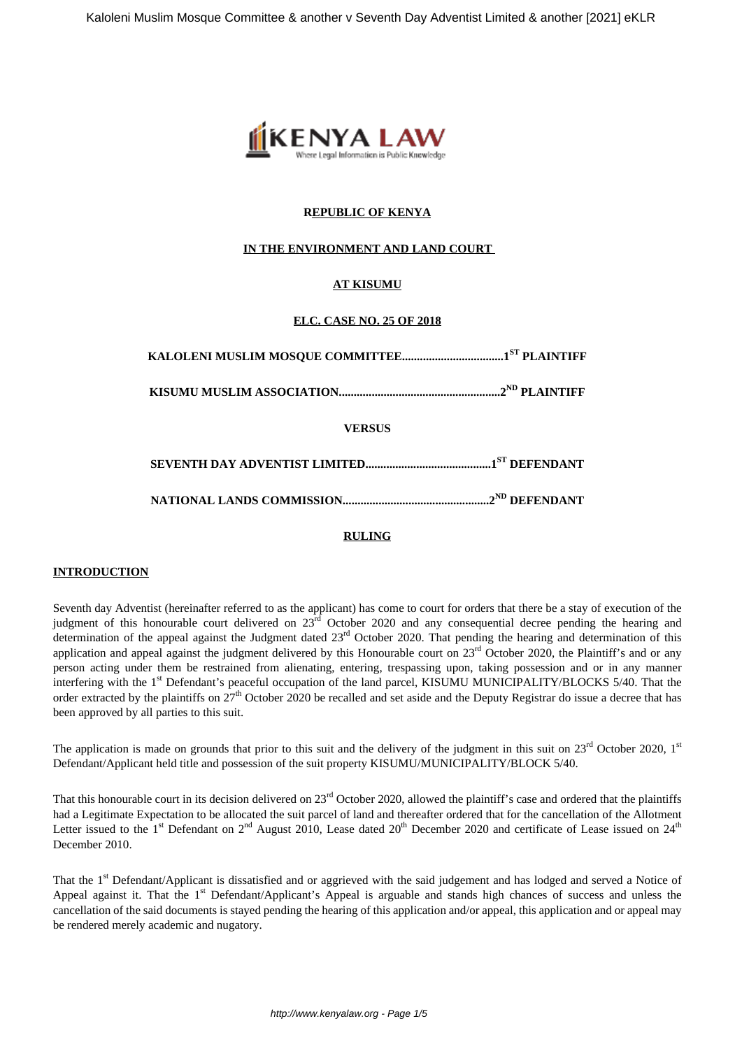

# **REPUBLIC OF KENYA**

### **IN THE ENVIRONMENT AND LAND COURT**

# **AT KISUMU**

### **ELC. CASE NO. 25 OF 2018**

| <b>VERSUS</b> |
|---------------|
|               |
|               |

### **RULING**

### **INTRODUCTION**

Seventh day Adventist (hereinafter referred to as the applicant) has come to court for orders that there be a stay of execution of the judgment of this honourable court delivered on  $23^{rd}$  October 2020 and any consequential decree pending the hearing and determination of the appeal against the Judgment dated 23<sup>rd</sup> October 2020. That pending the hearing and determination of this application and appeal against the judgment delivered by this Honourable court on  $23<sup>rd</sup>$  October 2020, the Plaintiff's and or any person acting under them be restrained from alienating, entering, trespassing upon, taking possession and or in any manner interfering with the 1<sup>st</sup> Defendant's peaceful occupation of the land parcel, KISUMU MUNICIPALITY/BLOCKS 5/40. That the order extracted by the plaintiffs on  $27<sup>th</sup>$  October 2020 be recalled and set aside and the Deputy Registrar do issue a decree that has been approved by all parties to this suit.

The application is made on grounds that prior to this suit and the delivery of the judgment in this suit on  $23^{rd}$  October 2020, 1st Defendant/Applicant held title and possession of the suit property KISUMU/MUNICIPALITY/BLOCK 5/40.

That this honourable court in its decision delivered on 23<sup>rd</sup> October 2020, allowed the plaintiff's case and ordered that the plaintiffs had a Legitimate Expectation to be allocated the suit parcel of land and thereafter ordered that for the cancellation of the Allotment Letter issued to the 1<sup>st</sup> Defendant on  $2^{nd}$  August 2010, Lease dated  $20^{th}$  December 2020 and certificate of Lease issued on  $24^{th}$ December 2010.

That the 1<sup>st</sup> Defendant/Applicant is dissatisfied and or aggrieved with the said judgement and has lodged and served a Notice of Appeal against it. That the 1<sup>st</sup> Defendant/Applicant's Appeal is arguable and stands high chances of success and unless the cancellation of the said documents is stayed pending the hearing of this application and/or appeal, this application and or appeal may be rendered merely academic and nugatory.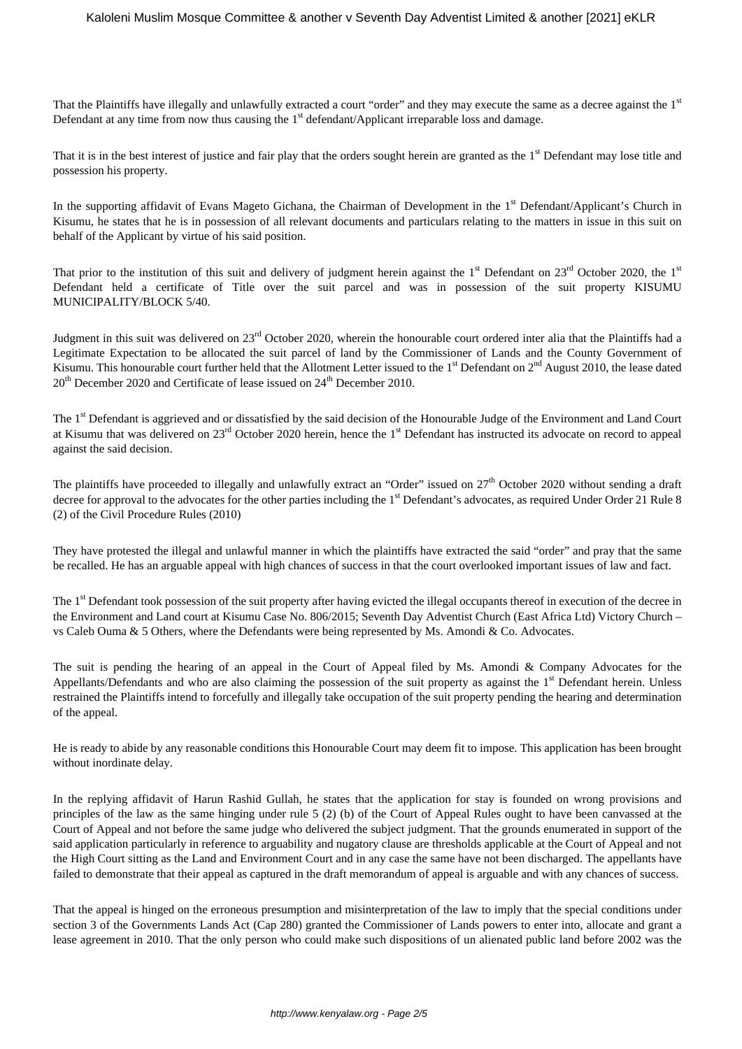That the Plaintiffs have illegally and unlawfully extracted a court "order" and they may execute the same as a decree against the  $1<sup>st</sup>$ Defendant at any time from now thus causing the  $1<sup>st</sup>$  defendant/Applicant irreparable loss and damage.

That it is in the best interest of justice and fair play that the orders sought herein are granted as the 1<sup>st</sup> Defendant may lose title and possession his property.

In the supporting affidavit of Evans Mageto Gichana, the Chairman of Development in the 1<sup>st</sup> Defendant/Applicant's Church in Kisumu, he states that he is in possession of all relevant documents and particulars relating to the matters in issue in this suit on behalf of the Applicant by virtue of his said position.

That prior to the institution of this suit and delivery of judgment herein against the  $1<sup>st</sup>$  Defendant on  $23<sup>rd</sup>$  October 2020, the  $1<sup>st</sup>$ Defendant held a certificate of Title over the suit parcel and was in possession of the suit property KISUMU MUNICIPALITY/BLOCK 5/40.

Judgment in this suit was delivered on 23<sup>rd</sup> October 2020, wherein the honourable court ordered inter alia that the Plaintiffs had a Legitimate Expectation to be allocated the suit parcel of land by the Commissioner of Lands and the County Government of Kisumu. This honourable court further held that the Allotment Letter issued to the  $1<sup>st</sup>$  Defendant on  $2<sup>nd</sup>$  August 2010, the lease dated 20<sup>th</sup> December 2020 and Certificate of lease issued on 24<sup>th</sup> December 2010.

The 1<sup>st</sup> Defendant is aggrieved and or dissatisfied by the said decision of the Honourable Judge of the Environment and Land Court at Kisumu that was delivered on 23<sup>rd</sup> October 2020 herein, hence the 1<sup>st</sup> Defendant has instructed its advocate on record to appeal against the said decision.

The plaintiffs have proceeded to illegally and unlawfully extract an "Order" issued on 27<sup>th</sup> October 2020 without sending a draft decree for approval to the advocates for the other parties including the 1<sup>st</sup> Defendant's advocates, as required Under Order 21 Rule 8 (2) of the Civil Procedure Rules (2010)

They have protested the illegal and unlawful manner in which the plaintiffs have extracted the said "order" and pray that the same be recalled. He has an arguable appeal with high chances of success in that the court overlooked important issues of law and fact.

The 1<sup>st</sup> Defendant took possession of the suit property after having evicted the illegal occupants thereof in execution of the decree in the Environment and Land court at Kisumu Case No. 806/2015; Seventh Day Adventist Church (East Africa Ltd) Victory Church – vs Caleb Ouma & 5 Others, where the Defendants were being represented by Ms. Amondi & Co. Advocates.

The suit is pending the hearing of an appeal in the Court of Appeal filed by Ms. Amondi & Company Advocates for the Appellants/Defendants and who are also claiming the possession of the suit property as against the  $1<sup>st</sup>$  Defendant herein. Unless restrained the Plaintiffs intend to forcefully and illegally take occupation of the suit property pending the hearing and determination of the appeal.

He is ready to abide by any reasonable conditions this Honourable Court may deem fit to impose. This application has been brought without inordinate delay.

In the replying affidavit of Harun Rashid Gullah, he states that the application for stay is founded on wrong provisions and principles of the law as the same hinging under rule 5 (2) (b) of the Court of Appeal Rules ought to have been canvassed at the Court of Appeal and not before the same judge who delivered the subject judgment. That the grounds enumerated in support of the said application particularly in reference to arguability and nugatory clause are thresholds applicable at the Court of Appeal and not the High Court sitting as the Land and Environment Court and in any case the same have not been discharged. The appellants have failed to demonstrate that their appeal as captured in the draft memorandum of appeal is arguable and with any chances of success.

That the appeal is hinged on the erroneous presumption and misinterpretation of the law to imply that the special conditions under section 3 of the Governments Lands Act (Cap 280) granted the Commissioner of Lands powers to enter into, allocate and grant a lease agreement in 2010. That the only person who could make such dispositions of un alienated public land before 2002 was the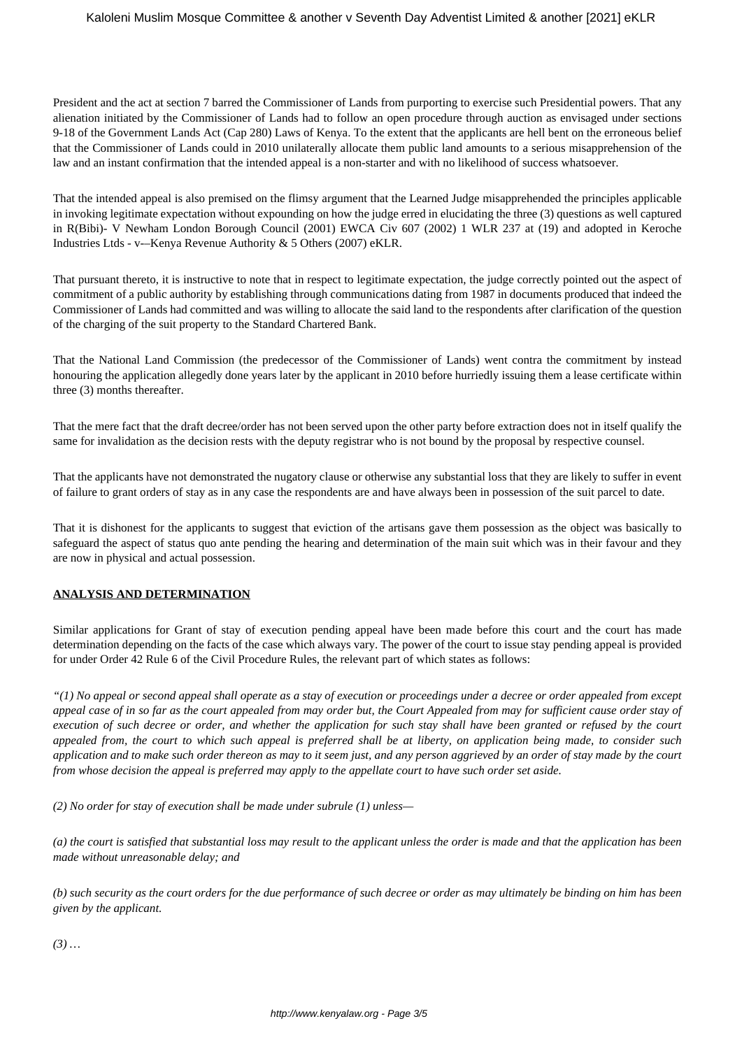President and the act at section 7 barred the Commissioner of Lands from purporting to exercise such Presidential powers. That any alienation initiated by the Commissioner of Lands had to follow an open procedure through auction as envisaged under sections 9-18 of the Government Lands Act (Cap 280) Laws of Kenya. To the extent that the applicants are hell bent on the erroneous belief that the Commissioner of Lands could in 2010 unilaterally allocate them public land amounts to a serious misapprehension of the law and an instant confirmation that the intended appeal is a non-starter and with no likelihood of success whatsoever.

That the intended appeal is also premised on the flimsy argument that the Learned Judge misapprehended the principles applicable in invoking legitimate expectation without expounding on how the judge erred in elucidating the three (3) questions as well captured in R(Bibi)- V Newham London Borough Council (2001) EWCA Civ 607 (2002) 1 WLR 237 at (19) and adopted in Keroche Industries Ltds - v-–Kenya Revenue Authority & 5 Others (2007) eKLR.

That pursuant thereto, it is instructive to note that in respect to legitimate expectation, the judge correctly pointed out the aspect of commitment of a public authority by establishing through communications dating from 1987 in documents produced that indeed the Commissioner of Lands had committed and was willing to allocate the said land to the respondents after clarification of the question of the charging of the suit property to the Standard Chartered Bank.

That the National Land Commission (the predecessor of the Commissioner of Lands) went contra the commitment by instead honouring the application allegedly done years later by the applicant in 2010 before hurriedly issuing them a lease certificate within three (3) months thereafter.

That the mere fact that the draft decree/order has not been served upon the other party before extraction does not in itself qualify the same for invalidation as the decision rests with the deputy registrar who is not bound by the proposal by respective counsel.

That the applicants have not demonstrated the nugatory clause or otherwise any substantial loss that they are likely to suffer in event of failure to grant orders of stay as in any case the respondents are and have always been in possession of the suit parcel to date.

That it is dishonest for the applicants to suggest that eviction of the artisans gave them possession as the object was basically to safeguard the aspect of status quo ante pending the hearing and determination of the main suit which was in their favour and they are now in physical and actual possession.

# **ANALYSIS AND DETERMINATION**

Similar applications for Grant of stay of execution pending appeal have been made before this court and the court has made determination depending on the facts of the case which always vary. The power of the court to issue stay pending appeal is provided for under Order 42 Rule 6 of the Civil Procedure Rules, the relevant part of which states as follows:

*"(1) No appeal or second appeal shall operate as a stay of execution or proceedings under a decree or order appealed from except appeal case of in so far as the court appealed from may order but, the Court Appealed from may for sufficient cause order stay of execution of such decree or order, and whether the application for such stay shall have been granted or refused by the court appealed from, the court to which such appeal is preferred shall be at liberty, on application being made, to consider such application and to make such order thereon as may to it seem just, and any person aggrieved by an order of stay made by the court from whose decision the appeal is preferred may apply to the appellate court to have such order set aside.*

*(2) No order for stay of execution shall be made under subrule (1) unless—*

*(a) the court is satisfied that substantial loss may result to the applicant unless the order is made and that the application has been made without unreasonable delay; and*

*(b) such security as the court orders for the due performance of such decree or order as may ultimately be binding on him has been given by the applicant.*

*(3) …*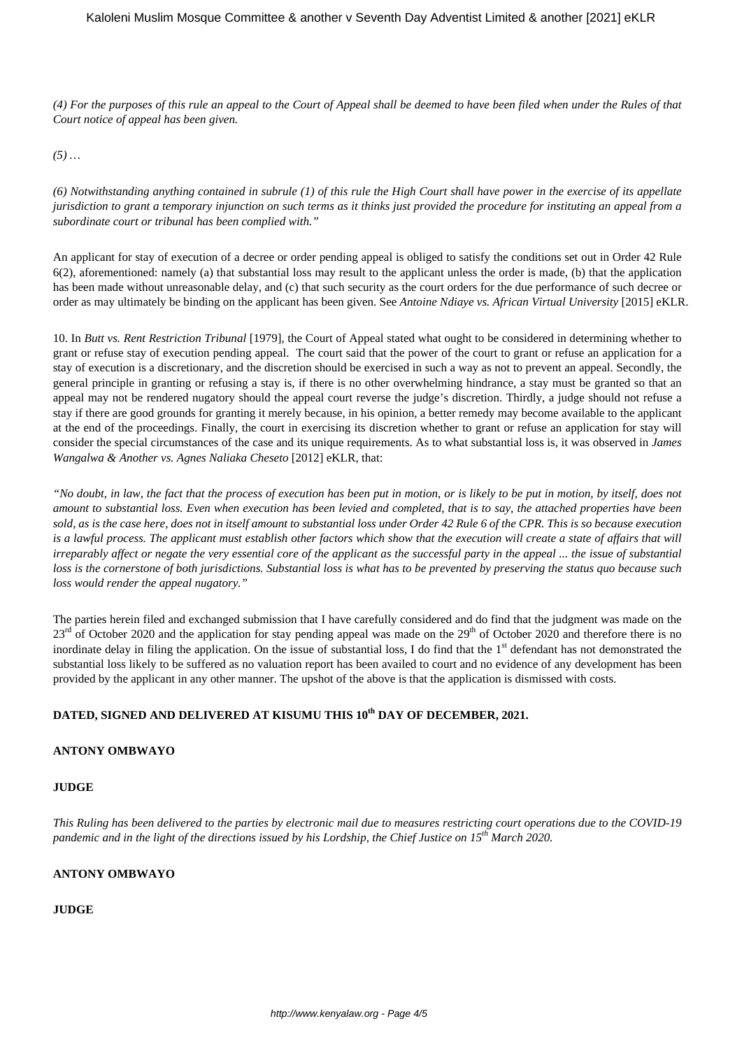*(4) For the purposes of this rule an appeal to the Court of Appeal shall be deemed to have been filed when under the Rules of that Court notice of appeal has been given.*

*(5) …*

*(6) Notwithstanding anything contained in subrule (1) of this rule the High Court shall have power in the exercise of its appellate jurisdiction to grant a temporary injunction on such terms as it thinks just provided the procedure for instituting an appeal from a subordinate court or tribunal has been complied with."*

An applicant for stay of execution of a decree or order pending appeal is obliged to satisfy the conditions set out in Order 42 Rule 6(2), aforementioned: namely (a) that substantial loss may result to the applicant unless the order is made, (b) that the application has been made without unreasonable delay, and (c) that such security as the court orders for the due performance of such decree or order as may ultimately be binding on the applicant has been given. See *Antoine Ndiaye vs. African Virtual University* [2015] eKLR.

10. In *Butt vs. Rent Restriction Tribunal* [1979], the Court of Appeal stated what ought to be considered in determining whether to grant or refuse stay of execution pending appeal. The court said that the power of the court to grant or refuse an application for a stay of execution is a discretionary, and the discretion should be exercised in such a way as not to prevent an appeal. Secondly, the general principle in granting or refusing a stay is, if there is no other overwhelming hindrance, a stay must be granted so that an appeal may not be rendered nugatory should the appeal court reverse the judge's discretion. Thirdly, a judge should not refuse a stay if there are good grounds for granting it merely because, in his opinion, a better remedy may become available to the applicant at the end of the proceedings. Finally, the court in exercising its discretion whether to grant or refuse an application for stay will consider the special circumstances of the case and its unique requirements. As to what substantial loss is, it was observed in *James Wangalwa & Another vs. Agnes Naliaka Cheseto* [2012] eKLR, that:

*"No doubt, in law, the fact that the process of execution has been put in motion, or is likely to be put in motion, by itself, does not amount to substantial loss. Even when execution has been levied and completed, that is to say, the attached properties have been sold, as is the case here, does not in itself amount to substantial loss under Order 42 Rule 6 of the CPR. This is so because execution* is a lawful process. The applicant must establish other factors which show that the execution will create a state of affairs that will *irreparably affect or negate the very essential core of the applicant as the successful party in the appeal ... the issue of substantial loss is the cornerstone of both jurisdictions. Substantial loss is what has to be prevented by preserving the status quo because such loss would render the appeal nugatory."*

The parties herein filed and exchanged submission that I have carefully considered and do find that the judgment was made on the  $23<sup>rd</sup>$  of October 2020 and the application for stay pending appeal was made on the  $29<sup>th</sup>$  of October 2020 and therefore there is no inordinate delay in filing the application. On the issue of substantial loss, I do find that the 1<sup>st</sup> defendant has not demonstrated the substantial loss likely to be suffered as no valuation report has been availed to court and no evidence of any development has been provided by the applicant in any other manner. The upshot of the above is that the application is dismissed with costs.

# **DATED, SIGNED AND DELIVERED AT KISUMU THIS 10th DAY OF DECEMBER, 2021.**

### **ANTONY OMBWAYO**

### **JUDGE**

*This Ruling has been delivered to the parties by electronic mail due to measures restricting court operations due to the COVID-19 pandemic and in the light of the directions issued by his Lordship, the Chief Justice on 15th March 2020.*

#### **ANTONY OMBWAYO**

### **JUDGE**